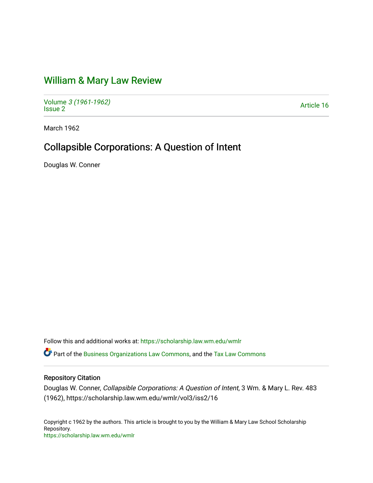# [William & Mary Law Review](https://scholarship.law.wm.edu/wmlr)

Volume [3 \(1961-1962\)](https://scholarship.law.wm.edu/wmlr/vol3)  Polarité 3 (1901-1902)<br>[Issue 2](https://scholarship.law.wm.edu/wmlr/vol3/iss2) Article 16

March 1962

## Collapsible Corporations: A Question of Intent

Douglas W. Conner

Follow this and additional works at: [https://scholarship.law.wm.edu/wmlr](https://scholarship.law.wm.edu/wmlr?utm_source=scholarship.law.wm.edu%2Fwmlr%2Fvol3%2Fiss2%2F16&utm_medium=PDF&utm_campaign=PDFCoverPages)

Part of the [Business Organizations Law Commons](http://network.bepress.com/hgg/discipline/900?utm_source=scholarship.law.wm.edu%2Fwmlr%2Fvol3%2Fiss2%2F16&utm_medium=PDF&utm_campaign=PDFCoverPages), and the [Tax Law Commons](http://network.bepress.com/hgg/discipline/898?utm_source=scholarship.law.wm.edu%2Fwmlr%2Fvol3%2Fiss2%2F16&utm_medium=PDF&utm_campaign=PDFCoverPages)

### Repository Citation

Douglas W. Conner, Collapsible Corporations: A Question of Intent, 3 Wm. & Mary L. Rev. 483 (1962), https://scholarship.law.wm.edu/wmlr/vol3/iss2/16

Copyright c 1962 by the authors. This article is brought to you by the William & Mary Law School Scholarship Repository. <https://scholarship.law.wm.edu/wmlr>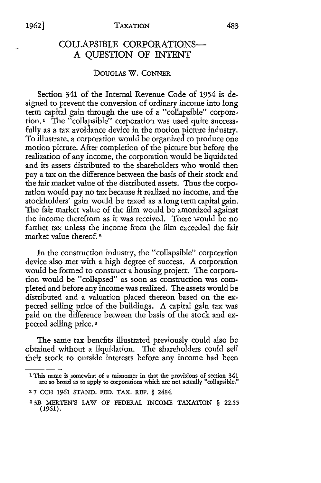#### COLLAPSIBLE CORPORATIONS-A QUESTION OF INTENT

#### **DOUGLAS** W. **CONNER**

Section 341 of the Internal Revenue Code of 1954 is designed to prevent the conversion of ordinary income into long term capital gain through the use of a "collapsible" corporation.' The "collapsible" corporation was used quite successfully as a tax avoidance device in the motion picture industry. To illustrate, a corporation would be organized to produce one motion picture. After completion of the picture but before the realization of any income, the corporation would be liquidated and its assets distributed to the shareholders who would then pay a tax on the difference between the basis of their stock and the fair market value of the distributed assets. Thus the corporation would pay no tax because it realized no income, and the stockholders' gain would be taxed as a long term capital gain. The fair market value of the film would be amortized against the income therefrom as it was received. There would be no further tax unless the income from the film exceeded the fair market value thereof. 2

In the construction industry, the "collapsible" corporation device also met with a high degree of success. A corporation would be formed to construct a housing project. The corporation would be "collapsed" as soon as construction was completed and before any income was realized. The assets would be distributed and a valuation placed thereon based on the expected selling price of the buildings. A capital gain tax was paid on the difference between the basis of the stock and expected selling price.3

The same tax benefits illustrated previously could also be obtained without a liquidation. The shareholders could sell their stock to outside interests before any income had been

**<sup>1</sup>**This name is somewhat of a misnomer in that the provisions of section 341 are so broad as to apply to corporations which are not actually "collapsible."

<sup>2</sup>7 **CCH** 1961 STAND. FED. TAX. REP. § 2484.

**<sup>33</sup>B** IERTEN'S LAW **OF** FEDERAL INCOME TAXATION § 22.55 (1961).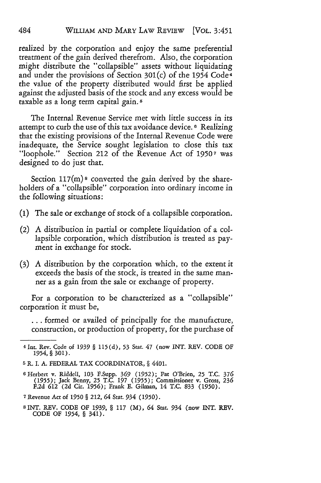realized by the corporation and enjoy the same preferential treatment of the gain derived therefrom. Also, the corporation might distribute the "collapsible" assets without liquidating and under the provisions of Section  $301(c)$  of the 1954 Code<sup>4</sup> the value of the property distributed would first be applied against the adjusted basis of the stock and any excess would be taxable as a long term capital gain. **5**

The Internal Revenue Service met with little success in its attempt to curb the use of this tax avoidance device. **6** Realizing that the existing provisions of the Internal Revenue Code were inadequate, the Service sought legislation to close this tax "loophole." Section 212 of the Revenue Act of **19507** was designed to do just that.

Section 117 $(m)$ <sup>8</sup> converted the gain derived by the shareholders of a "collapsible" corporation into ordinary income in the following situations:

- **(1)** The sale or exchange of stock of a collapsible corporation.
- (2) A distribution in partial or complete liquidation of a collapsible corporation, which distribution is treated as payment in exchange for stock.
- (3) A distribution by the corporation which, to the extent it exceeds the basis of the stock, is treated in the same manner as a gain from the sale or exchange of property.

For a corporation to be characterized as a "collapsible" corporation it must be,

... formed or availed of principally for the manufacture, construction, or production of property, for the purchase of

<sup>4</sup> Int. Rev. Code of **1939** § 115(d), 53 Star. 47 (now INT. REV. CODE OF 1954, § 301).

**<sup>5</sup>** R. I. A. FEDERAL TAX COORDINATOR, § 4401.

**<sup>6</sup>** Herbert v. Riddell, 103 F.Supp. **369** (1952); Pat O'Brien, 25 T.C. **376 (1955);** Jack Benny, **25** T.C. 197 **(1955);** Commissioner v. Gross, **236** F.2d **612** (2d Cir. **1956);** Frank E. Gilman, 14 T.C. 833 **(1950).**

**<sup>7</sup>** Revenue Act of *1950* § 212, 64 Stat. 934 (1950).

<sup>8</sup>INT. REV. CODE OF *1939,* § 117 (M), 64 Stat. 934 (now INT. REV. CODE OF 1954, § 341).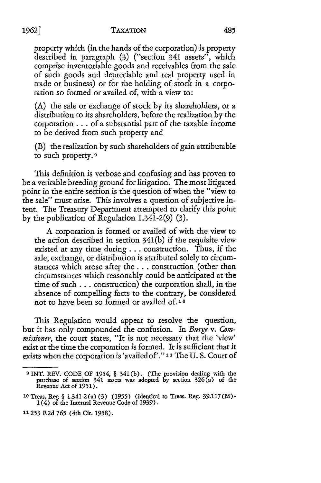property which (in the hands of the corporation) is property described in paragraph (3) ("section 341 assets", which comprise inventoriable goods and receivables from the sale of such goods and depreciable and real property used in trade or business) or for the holding of stock in a corporation so formed or availed of, with a view to:

(A) the sale or exchange of stock by its shareholders, or a distribution to its shareholders, before the realization by the corporation **...** of a substantial part of the taxable income to be derived from such property and

(B) the realization by such shareholders of gain attributable to such property. **9**

This definition is verbose and confusing and has proven to be a veritable breeding ground for litigation. The most litigated point in the entire section is the question of when the "view to the sale" must arise. This involves a question of subjective intent. The Treasury Department attempted to clarify this point by the publication of Regulation 1.341-2(9) (3).

A corporation is formed or availed of with the view to the action described in section 341(b) if the requisite view existed at any time during **...** construction. Thus, if the sale, exchange, or distribution is attributed solely to circumstances which arose after the **...** construction (other than circumstances which reasonably could be anticipated at the time of such... construction) the corporation shall, in the absence of compelling facts to the contrary, be considered not to have been so formed or availed of. **10**

This Regulation would appear to resolve the question, but it has only compounded the confusion. In *Burge v. Commissioner,* the court states, "It is not necessary that the 'view' exist at the time the corporation is formed. It is sufficient that it exists when the corporation is 'availed of'." **1"** The U. S. Court of

*1962]*

**<sup>9</sup>**INT. REV. CODE OF 1954, § 341 (b). (The provision dealing with the purchase of section 341 assets was adopted by section 326(a) of the Revenue Act of 1951)

**<sup>10</sup>**Treas. Reg § 1.341-2 (a) (3) **(1955)** (identical to Treas. Reg. 39.117 (M)- **1** (4) of the Internal Revenue Code of 1939).

**<sup>1&</sup>quot;253** F.2d **765** (4th Cir. 1958).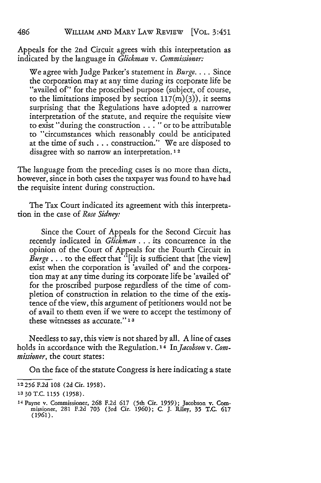Appeals for the 2nd Circuit agrees with this interpretation as indicated by the language in *Glickman v. Commissioner:*

We agree with Judge Parker's statement in *Burge ....* Since the corporation may at any time during its corporate life be "availed of" for the proscribed purpose (subject, of course, to the limitations imposed by section  $117(m)(3)$ , it seems surprising that the Regulations have adopted a narrower interpretation of the statute, and require the requisite view to exist "during the construction **. .** . "or to be attributable to "circumstances which reasonably could be anticipated at the time of such **...** construction." We are disposed to disagree with so narrow an interpretation. **12**

The language from the preceding cases is no more than dicta, however, since in both cases the taxpayer was found to have had the requisite intent during construction.

The Tax Court indicated its agreement with this interpretation in the case of *Rose Sidney:*

Since the Court of Appeals for the Second Circuit has recently indicated in *Glickman* ... its concurrence in the opinion of the Court of Appeals for the Fourth Circuit in *Burge* ... to the effect that "[i]t is sufficient that [the view] exist when the corporation is 'availed of' and the corporation may at any time during its corporate life be 'availed of' for the proscribed purpose regardless of the time of completion of construction in relation to the time of the existence of the view, this argument of petitioners would not be of avail to them even if we were to accept the testimony of these witnesses as accurate." **<sup>13</sup>**

Needless to say, this view is not shared by all. A line of cases holds in accordance with the Regulation. 14 *InJacobson v. Commissioner,* the court states:

On the face of the statute Congress is here indicating a state

**<sup>12256</sup> F.2d** 108 (2d Cir. 1958).

**<sup>1330</sup>** T.C. 1155 (1958).

<sup>14</sup> Payne v. Commissioner, **268** F.2d **617** (5th Cir. 1959); Jacobson v. Commissioner, 281 F.2d 703 (3rd Cir. **1960);** C. J. Riley, 35 T.C. **617** (1961).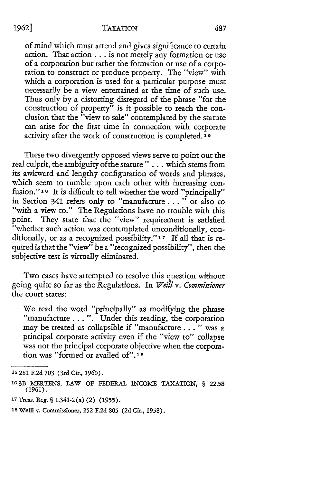*1962]*

of mind which must attend and gives significance to certain action. That action... is not merely any formation or use of a corporation but rather the formation or use of a corporation to construct or produce property. The "view" with which a corporation is used for a particular purpose must necessarily be a view entertained at the time of such use. Thus only by a distorting disregard of the phrase "for the construction of property" is it possible to reach the conclusion that the "view to sale" contemplated by the statute can arise for the first time in connection with corporate activity after the work of construction is completed. **1**

These two divergently opposed views serve to point out the real culprit, the ambiguity ofthe statute" **. . .** which stems from its awkward and lengthy configuration of words and phrases, which seem to tumble upon each other with increasing confusion."<sup>16</sup> It is difficult to tell whether the word "principally" in Section 341 refers only to "manufacture. **..** " or also to "with a view to." The Regulations have no trouble with this point. They state that the "view" requirement is satisfied "whether such action was contemplated unconditionally, conditionally, or as a recognized possibility." **17** If all that is required is that the "view" be a "recognized possibility", then the subjective test is virtually eliminated.

Two cases have attempted to resolve this question without going quite so far as the Regulations. In *Weill v. Commissioner* the court states:

We read the word "principally" as modifying the phrase "manufacture...". Under this reading, the corporation may be treated as collapsible if "manufacture. **.** . " was a principal corporate activity even if the "view to" collapse was not the principal corporate objective when the corporation was "formed or availed of".' **8**

<sup>15 281</sup> F.2d 703 (3rd Cir., 1960).

**<sup>16</sup>**3B MERTENS, LAW OF FEDERAL INCOME TAXATION, § 22.58 (1961).

**<sup>17</sup>** Treas. Reg. § 1.341-2 (a) (2) *(1955).*

**<sup>18</sup>**Weill v. Commissioner, **252** F.2d *805* (2d Cir., 1958).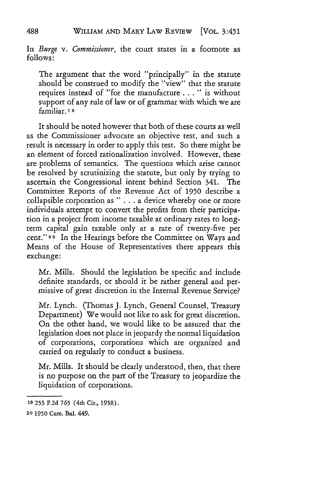In *Burge v. Commissioner,* the court states in a footnote as follows:

The argument that the word "principally" in the statute should be construed to modify the "view" that the statute requires instead of "for the manufacture. **. .** " is without support of any rule of law or of grammar with which we are familiar. **1 9**

It should be noted however that both of these courts as well as the Commissioner advocate an objective test, and such a result is necessary in order to apply this test. So there might be an element of forced rationalization involved. However, these are problems of semantics. The questions which arise cannot be resolved by scrutinizing the statute, but only by trying to ascertain the Congressional intent behind Section 341. The Committee Reports of the Revenue Act of 1950 describe a collapsible corporation as " . **.** . a device whereby one or more individuals attempt to convert the profits from their participation in a project from income taxable at ordinary rates to longterm capital gain taxable only at a rate of twenty-five per cent."20 In the Hearings before the Committee on Ways and Means of the House of Representatives there appears this exchange:

Mr. Mills. Should the legislation be specific and include definite standards, or should it be rather general and permissive of great discretion in the Internal Revenue Service?

Mr. Lynch. (Thomas J. Lynch, General Counsel, Treasury Department) We would not like to ask for great discretion. On the other hand, we would like to be assured that the legislation does not place in jeopardy the normal liquidation of corporations, corporations which are organized and carried on regularly to conduct a business.

Mr. Mills. It should be dearly understood, then, that there is no purpose on the part of the Treasury to jeopardize the liquidation of corporations.

488

**<sup>19</sup> 253 F.2d 765** (4th Cir., **1958).**

**<sup>20 1950</sup>** Cum. Bul. 449.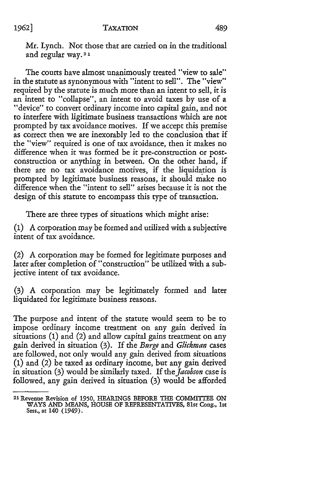Mr. Lynch. Not those that are carried on in the traditional and regular way.21

The courts have almost unanimously treated "view to sale" in the statute as synonymous with "intent to sell". The "view" required by the statute is much more than an intent to sell, it is an intent to "collapse", an intent to avoid taxes by use of a "device" to convert ordinary income into capital gain, and not to interfere with ligitimate business transactions which are not prompted by tax avoidance motives. If we accept this premise as correct then we are inexorably led to the conclusion that if the "view" required is one of tax avoidance, then it makes no difference when it was formed be it pre-construction or postconstruction or anything in between. On the other hand, if there are no tax avoidance motives, if the liquidation is prompted by legitimate business reasons, it should make no difference when the "intent to sell" arises because it is not the design of this statute to encompass this type of transaction.

There are three types of situations which might arise:

(1) A corporation may be formed and utilized with a subjective intent of tax avoidance.

(2) A corporation may be formed for legitimate purposes and later after completion of "construction" be utilized with a subjective intent of tax avoidance.

(3) A corporation may be legitimately formed and later liquidated for legitimate business reasons.

The purpose and intent of the statute would seem to be to impose ordinary income treatment on any gain derived in situations (1) and (2) and allow capital gains treatment on any gain derived in situation (3). If the *Burge* and *Glickman* cases are followed, not only would any gain derived from situations **(1)** and (2) be taxed as ordinary income, but any gain derived in situation (3) would be similarly taxed. If *the Jacobson* case is followed, any gain derived in situation (3) would be afforded

<sup>2</sup> 1 Revenue Revision of **1950,** HEARINGS BEFORE THE COMMITTEE ON WAYS AND MEANS, HOUSE OF REPRESENTATIVES, 81st Cong., 1st Sess., at 140 (1949).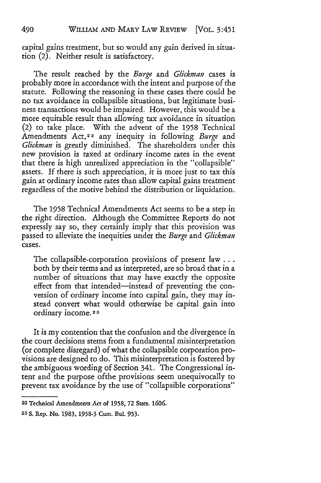capital gains treatment, but so would any gain derived in situation (2). Neither result is satisfactory.

The result reached by the *Burge* and *Glickman* cases is probably more in accordance with the intent and purpose of the statute. Following the reasoning in these cases there could be no tax avoidance in collapsible situations, but legitimate business transactions would be impaired. However, this would be a more equitable result than allowing tax avoidance in situation (2) to take place. With the advent of the 1958 Technical Amendments Act,22 any inequity in following *Burge* and *Glickman* is greatly diminished. The shareholders under this new provision is taxed at ordinary income rates in the event that there is high unrealized appreciation in the "collapsible" assets. If there is such appreciation, it is more just to tax this gain at ordinary income rates than allow capital gains treatment regardless of the motive behind the distribution or liquidation.

The 1958 Technical Amendments Act seems to be a step in the right direction. Although the Committee Reports do not expressly say so, they certainly imply that this provision was passed to alleviate the inequities under the *Burge* and *Glickman* cases.

The collapsible-corporation provisions of present law... both by their terms and as interpreted, are so broad that in a number of situations that may have exactly the opposite effect from that intended—instead of preventing the conversion of ordinary income into capital gain, they may instead convert what would otherwise be capital gain into ordinary income. **<sup>2</sup> . 3**

It is my contention that the confusion and the divergence in the court decisions stems from a fundamental misinterpretation (or complete disregard) of what the collapsible corporation provisions are designed to do. This misinterpretation is fostered by the ambiguous wording of Section 341. The Congressional intent and the purpose ofthe provisions seem unequivocally to prevent tax avoidance by the use of "collapsible corporations"

**<sup>22</sup>** Technical Amendments *Act* **of 1958, 72** Stats. *1606.*

**<sup>23</sup> S. Rep. No. 1983, 1958-3** Cum. **Bul. 953.**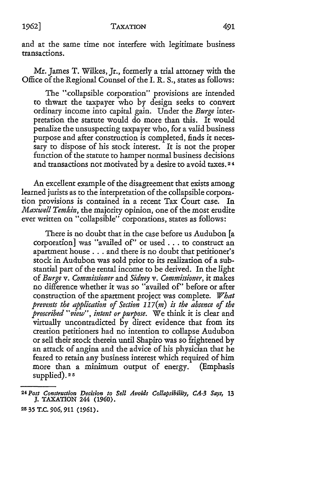**1962]**

and at the same time not interfere with legitimate business transactions.

Mr. James T. Wilkes, Jr., formerly a trial attorney with the Office of the Regional Counsel of the I. **R. S.,** states as follows:

The "collapsible corporation" provisions are intended to thwart the taxpayer who by design seeks to convert ordinary income into capital gain. Under the *Burge* interpretation the statute would do more than this. It would penalize the unsuspecting taxpayer who, for a valid business purpose and after construction is completed, finds it necessary to dispose of his stock interest. It is not the proper function of the statute to hamper normal business decisions and transactions not motivated by a desire to avoid taxes.<sup>24</sup>

An excellent example of the disagreement that exists among learned jurists as to the interpretation of the collapsible corporation provisions is contained in a recent Tax Court case. **In** *Maxwell Temkin,* the majority opinion, one of the most erudite ever written on "collapsible" corporations, states as follows:

There is no doubt that in the case before us Audubon [a corporation] was "availed of" or used . . . to construct an apartment house.., and there is no doubt that petitioner's stock in Audubon was sold prior to its realization of a substantial part of the rental income to be derived. In the light of *Burge v. Commissioner* and *Sidney v. Commissioner,* it makes no difference whether it was so "availed of" before or after construction of the apartment project was complete. *What prevents the application of Section 117(m) is the absence of the proscribed "view", intent or purpose.* We think it is clear and virtually uncontradicted by direct evidence that from its creation petitioners had no intention to collapse Audubon or sell their stock therein until Shapiro was so frightened by an attack of angina and the advice of his physician that he feared to retain any business interest which required of him more than a minimum output of energy. (Emphasis supplied). **25**

*<sup>24</sup> Post Construction Decision to Sell Avoids Collapsibility, CA-3 Says, 13* **J.** TAXATION **244 (1960). 25 35** T.C. *906, 911* (1961).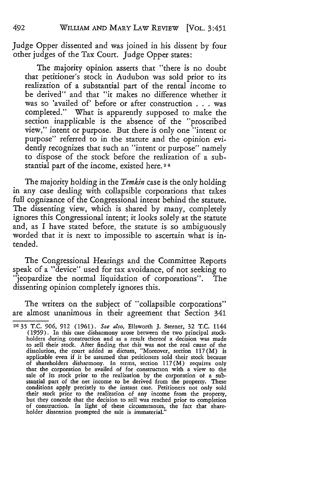Judge Opper dissented and was joined in his dissent by four other judges of the Tax Court. Judge Opper states:

The majority opinion asserts that "there is no doubt that petitioner's stock in Audubon was sold prior to its realization of a substantial part of the rental income to be derived" and that "it makes no difference whether it was so 'availed of' before or after construction . . . was completed." What is apparently supposed to make the section inapplicable is the absence of the "proscribed view," intent or purpose. But there is only one "intent or purpose" referred to in the statute and the opinion evidently recognizes that such an "intent or purpose" namely to dispose of the stock before the realization of a substantial part of the income, existed here. **<sup>26</sup>**

The majority holding in the *Temkin* case is the only holding in any case dealing with collapsible corporations that takes full cognizance of the Congressional intent behind the statute. The dissenting view, which is shared by many, completely ignores this Congressional intent; it looks solely at the statute and, as I have stated before, the statute is so ambiguously worded that it is next to impossible to ascertain what is intended.

The Congressional Hearings and the Committee Reports speak of a "device" used for tax avoidance, of not seeking to "jeopardize the normal liquidation of corporations". The dissenting opinion completely ignores this.

The writers on the subject of "collapsible corporations" are almost unanimous in their agreement that Section 341

**<sup>2</sup>c 35** T.C. 906, 912 (1961). *Sce also,* Ellsworth J. Sterner, 32 T.C. 1144 (1959). In this case disharmony arose between the two principal stockholders during construction and as a result thereof a decision was made to sell their stock. After finding that this was not the real cause of the dissolution, the court added as dictum, "Moreover, section 117(M) is applicable even if it be assumed that petitioners sold their stock because of shareholders disharmony. In terms, section 117(M) requires only that the corporation be availed of for construction with a view to the sale of its stock prior to the realization by the corporation ot a sub-stantial part of the net income to be derived from the property. These conditions apply precisely to the instant case. Petitioners not only sold their stock prior to the realization of any income from the property, but they concede that the decision to sell was reached prior to completion of construction. In light of these circumstances, the fact that shareholder dissention prompted the sale is immaterial."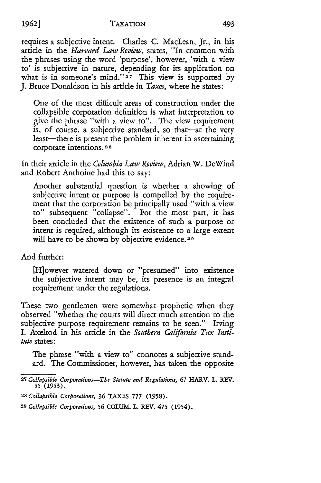#### **1962]**

requires a subjective intent. Charles C. MacLean, Jr., in his article in the *Harvard Law Review,* states, "In common with the phrases using the word 'purpose', however, 'with a view to' is subjective in nature, depending for its application on what is in someone's mind."<sup>27</sup> This view is supported by J. Bruce Donaldson in his article in *Taxes,* where he states:

One of the most difficult areas of construction under the collapsible corporation definition is what interpretation to give the phrase "with a view to". The view requirement is, of course, a subjective standard, so that--at the very least—there is present the problem inherent in ascertaining corporate intentions. **2 8**

In their article in the *Columbia Law Review,* Adrian W. DeWind and Robert Anthoine had this to say:

Another substantial question is whether a showing of subjective intent or purpose is compelled by the requirement that the corporation be principally used "with a view to" subsequent "collapse". For the most part, it has been concluded that the existence of such a purpose or intent is required, although its existence to a large extent will have to be shown by objective evidence. 2 **9**

And further:

[H]owever watered down or "presumed" into existence the subjective intent may be, its presence is an integral requirement under the regulations.

These two gentlemen were somewhat prophetic when they observed "whether the courts will direct much attention to the subjective purpose requirement remains to be seen." Irving I. Axelrod in his article in the *Southern California Tax Institute* states:

The phrase "with a view to" connotes a subjective standard. The Commissioner, however, has taken the opposite

*<sup>27</sup> Collapsible Corporations-The Statute and Regulations,* **67 HARV. L. REV. 55 (1953).**

*<sup>28</sup> Collapsible Corporations,* **36 TAXES 777 (1958).**

*<sup>29</sup> Collapsible Corporations, 56* **COLUM. L. REV. 475** (1954).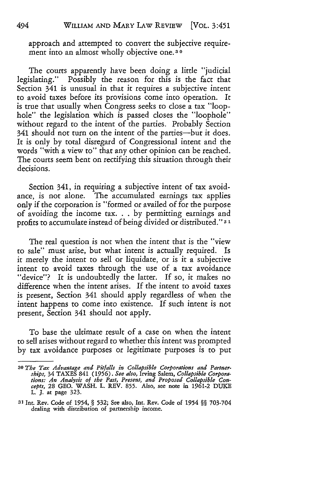approach and attempted to convert the subjective requirement into an almost wholly objective one. **3 0**

The courts apparently have been doing a little "judicial legislating." Possibly the reason for this is the fact that Section 341 is unusual in that it requires a subjective intent to avoid taxes before its provisions come into operation. It is true that usually when Congress seeks to dose a tax "loophole" the legislation which is passed doses the "loophole" without regard to the intent of the parties. Probably Section 341 should not turn on the intent of the parties-but it does. It is only by total disregard of Congressional intent and the words "with a view to" that any other opinion can be reached. The courts seem bent on rectifying this situation through their decisions.

Section 341, in requiring a subjective intent of tax avoidance, is not alone. The accumulated earnings tax applies only if the corporation is "formed or availed of for the purpose of avoiding the income tax. **. .** by permitting earnings and profits to accumulate instead of being divided or distributed." **31**

The real question is not when the intent that is the "view to sale" must arise, but what intent is actually required. Is it merely the intent to sell or liquidate, or is it a subjective intent to avoid taxes through the use of a tax avoidance "device"? It is undoubtedly the latter. If so, it makes no difference when the intent arises. If the intent to avoid taxes is present, Section 341 should apply regardless of when the intent happens to come into existence. If such intent is not present, Section 341 should not apply.

To base the ultimate result of a case on when the intent to sell arises without regard to whether this intent was prompted by tax avoidance purposes or legitimate purposes is to put

494

*<sup>30</sup> The Tax Advantage and Pitfalls in Collapsible Corporations and Partnerships,* 34 TAXES 841 (1956). *See also,* Irving Salem, *Collapsible Corporations: An Analysis of the Past, Present, and Proposed Collapsible Con-cepts,* 28 GEO. WASH. L. REV. **855.** Also, see note in 1961-2 DUKE L. J. at page 323.

**<sup>31</sup>**Int. Rev. Code of 1954, § **532;** See also, Int. Rev. Code of 1954 §§ 703-704 dealing with distribution of partnership income.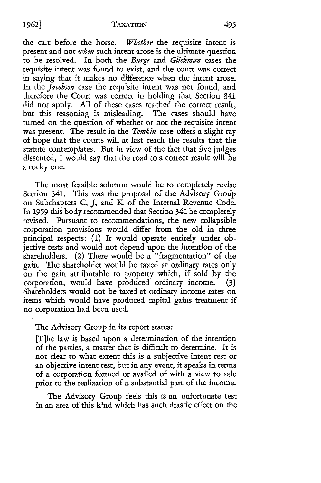the cart before the horse. *Whether* the requisite intent is present and not *when* such intent arose is the ultimate question to be resolved. In both the *Burge* and *Glickman* cases the requisite intent was found to exist, and the court was correct in saying that it makes no difference when the intent arose. In the *Jacobson* case the requisite intent was not found, and therefore the Court was correct in holding that Section 341 did not apply. All of these cases reached the correct result, but this reasoning is misleading. The cases should have turned on the question of whether or not the requisite intent was present. The result in the *Temkin* case offers a slight ray of hope that the courts will at last reach the results that the statute contemplates. But in view of the fact that five judges dissented, I would say that the road to a correct result will be a rocky one.

The most feasible solution would be to completely revise Section 341. This was the proposal of the Advisory Group on Subchapters C, J, and  $\overline{K}$  of the Internal Revenue Code. In *1959* this body recommended that Section 341 be completely revised. Pursuant to recommendations, the new collapsible corporation provisions would differ from the old in three principal respects: **(1)** It would operate entirely under objective tests and would not depend upon the intention of the shareholders. (2) There would be a "'fragmentation" of the gain. The shareholder would be taxed at ordinary rates only on the gain attributable to property which, if sold by the corporation, would have produced ordinary income. (3) Shareholders would not be taxed at ordinary income rates on items which would have produced capital gains treatment if no corporation had been used.

The Advisory Group in its report states:

[T]he law is based upon a determination of the intention of the parties, a matter that is difficult to determine. It is not dear to what extent this is a subjective intent test or an objective intent test, but in any event, it speaks in terms of a corporation formed or availed of with a view to sale prior to the realization of a substantial part of the income.

The Advisory Group feels this is an unfortunate test in an area of this kind which has such drastic effect on the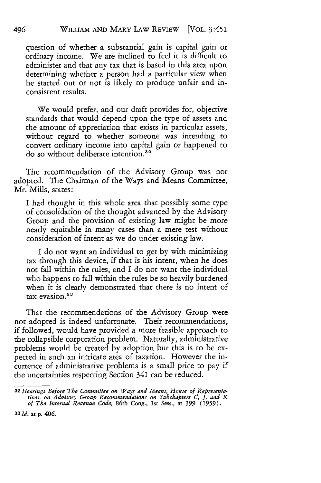question of whether a substantial gain is capital gain or ordinary income. We are inclined to feel it is difficult to administer and that any tax that is based in this area upon determining whether a person had a particular view when he started out or not is likely to produce unfair and inconsistent results.

We would prefer, and our draft provides for, objective standards that would depend upon the type of assets and the amount of appreciation that exists in particular assets, without regard to whether someone was intending to convert ordinary income into capital gain or happened to do so without deliberate intention.<sup>32</sup>

The recommendation of the Advisory Group was not adopted. The Chairman of the Ways and Means Committee, Mr. Mills, states:

I had thought in this whole area that possibly some type of consolidation of the thought advanced by the Advisory Group and the provision of existing law might be more nearly equitable in many cases than a mere test without consideration of intent as we do under existing law.

I do not want an individual to get by with minimizing tax through this device, if that is his intent, when he does not fall within the rules, and I do not want the individual who happens to fall within the rules be so heavily burdened when it is clearly demonstrated that there is no intent of tax evasion.<sup>33</sup>

That the recommendations of the Advisory Group were not adopted is indeed unfortunate. Their recommendations, if followed, would have provided a more feasible approach to the collapsible corporation problem. Naturally, administrative problems would be created by adoption but this is to be expected in such an intricate area of taxation. However the incurrence of administrative problems is a small price to pay if the uncertainties respecting Section **341** can be reduced.

**33** *Id.* **at p. 406.**

*<sup>32</sup> Hearings Before The Committee on Ways and Means, House of Representatives, on Advisory Group Recommendations on Subchapters C, J, and K of The Internal Revenue Code,* 86th Cong., **1st** Sess., **at** *399* **(1959).**